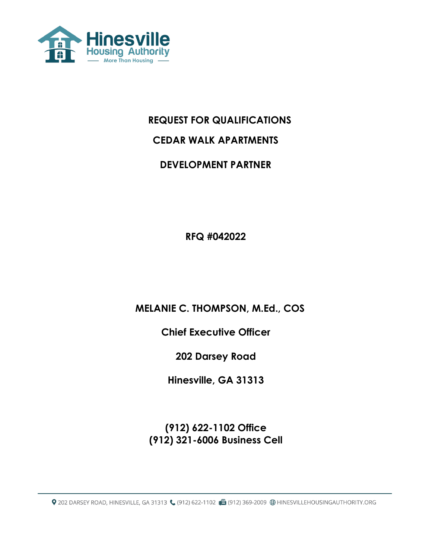

# **REQUEST FOR QUALIFICATIONS**

## **CEDAR WALK APARTMENTS**

## **DEVELOPMENT PARTNER**

**RFQ #042022**

 **MELANIE C. THOMPSON, M.Ed., COS** 

**Chief Executive Officer** 

**202 Darsey Road**

**Hinesville, GA 31313**

**(912) 622-1102 Office (912) 321-6006 Business Cell** 

9 202 DARSEY ROAD, HINESVILLE, GA 31313 (912) 622-1102 (B (912) 369-2009 (B HINESVILLEHOUSINGAUTHORITY.ORG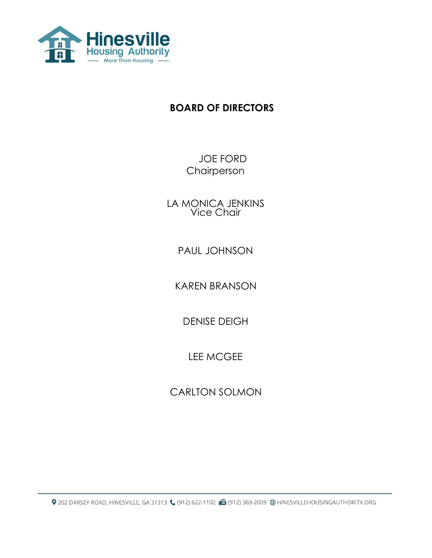

# **BOARD OF DIRECTORS**

 JOE FORD Chairperson

LA MONICA JENKINS Vice Chair

PAUL JOHNSON

KAREN BRANSON

DENISE DEIGH

LEE MCGEE

CARLTON SOLMON

Q 202 DARSEY ROAD, HINESVILLE, GA 31313 (912) 622-1102 (B (912) 369-2009 ⊕ HINESVILLEHOUSINGAUTHORITY.ORG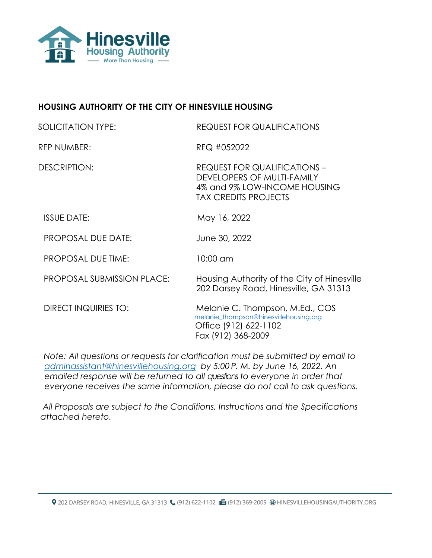

## **HOUSING AUTHORITY OF THE CITY OF HINESVILLE HOUSING**

| SOLICITATION TYPE:                | <b>REQUEST FOR QUALIFICATIONS</b>                                                                                                |
|-----------------------------------|----------------------------------------------------------------------------------------------------------------------------------|
| RFP NUMBER:                       | RFQ #052022                                                                                                                      |
| DESCRIPTION:                      | <b>REQUEST FOR QUALIFICATIONS -</b><br>DEVELOPERS OF MULTI-FAMILY<br>4% and 9% LOW-INCOME HOUSING<br><b>TAX CREDITS PROJECTS</b> |
| <b>ISSUE DATE:</b>                | May 16, 2022                                                                                                                     |
| <b>PROPOSAL DUE DATE:</b>         | June 30, 2022                                                                                                                    |
| <b>PROPOSAL DUE TIME:</b>         | 10:00 am                                                                                                                         |
| <b>PROPOSAL SUBMISSION PLACE:</b> | Housing Authority of the City of Hinesville<br>202 Darsey Road, Hinesville, GA 31313                                             |
| <b>DIRECT INQUIRIES TO:</b>       | Melanie C. Thompson, M.Ed., COS<br>melanie thompson@hinesvillehousing.org<br>Office (912) 622-1102<br>Fax (912) 368-2009         |

*Note: All questions or requests for clarification must be submitted by email to [adminassistant@hinesvillehousing.org](mailto:adminassistant@hinesvillehousing.org) by 5:00 P. M. by June 16, 2022. An emailed response will be returned to all questionsto everyone in order that everyone receives the same information, please do not call to ask questions.*

 *All Proposals are subject to the Conditions, Instructions and the Specifications attached hereto.*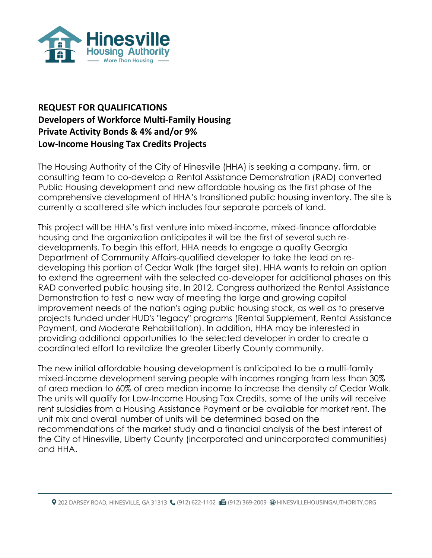

## **REQUEST FOR QUALIFICATIONS Developers of Workforce Multi-Family Housing Private Activity Bonds & 4% and/or 9% Low-Income Housing Tax Credits Projects**

The Housing Authority of the City of Hinesville (HHA) is seeking a company, firm, or consulting team to co-develop a Rental Assistance Demonstration (RAD) converted Public Housing development and new affordable housing as the first phase of the comprehensive development of HHA's transitioned public housing inventory. The site is currently a scattered site which includes four separate parcels of land.

This project will be HHA's first venture into mixed-income, mixed-finance affordable housing and the organization anticipates it will be the first of several such redevelopments. To begin this effort, HHA needs to engage a quality Georgia Department of Community Affairs-qualified developer to take the lead on redeveloping this portion of Cedar Walk (the target site). HHA wants to retain an option to extend the agreement with the selected co-developer for additional phases on this RAD converted public housing site. In 2012, Congress authorized the Rental Assistance Demonstration to test a new way of meeting the large and growing capital improvement needs of the nation's aging public housing stock, as well as to preserve projects funded under HUD's "legacy" programs (Rental Supplement, Rental Assistance Payment, and Moderate Rehabilitation). In addition, HHA may be interested in providing additional opportunities to the selected developer in order to create a coordinated effort to revitalize the greater Liberty County community.

The new initial affordable housing development is anticipated to be a multi-family mixed-income development serving people with incomes ranging from less than 30% of area median to 60% of area median income to increase the density of Cedar Walk. The units will qualify for Low-Income Housing Tax Credits, some of the units will receive rent subsidies from a Housing Assistance Payment or be available for market rent. The unit mix and overall number of units will be determined based on the recommendations of the market study and a financial analysis of the best interest of the City of Hinesville, Liberty County (incorporated and unincorporated communities) and HHA.

Q 202 DARSEY ROAD, HINESVILLE, GA 31313 ((912) 622-1102 d (912) 369-2009 ⊕ HINESVILLEHOUSINGAUTHORITY.ORG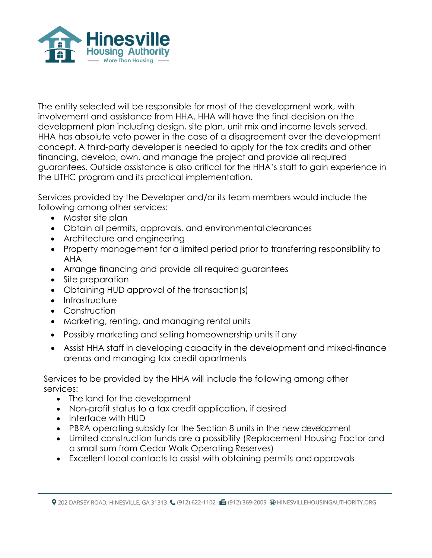

The entity selected will be responsible for most of the development work, with involvement and assistance from HHA. HHA will have the final decision on the development plan including design, site plan, unit mix and income levels served. HHA has absolute veto power in the case of a disagreement over the development concept. A third-party developer is needed to apply for the tax credits and other financing, develop, own, and manage the project and provide all required guarantees. Outside assistance is also critical for the HHA's staff to gain experience in the LITHC program and its practical implementation.

Services provided by the Developer and/or its team members would include the following among other services:

- Master site plan
- Obtain all permits, approvals, and environmental clearances
- Architecture and engineering
- Property management for a limited period prior to transferring responsibility to AHA
- Arrange financing and provide all required guarantees
- Site preparation
- Obtaining HUD approval of the transaction(s)
- Infrastructure
- Construction
- Marketing, renting, and managing rental units
- Possibly marketing and selling homeownership units if any
- Assist HHA staff in developing capacity in the development and mixed-finance arenas and managing tax credit apartments

Services to be provided by the HHA will include the following among other services:

- The land for the development
- Non-profit status to a tax credit application, if desired
- Interface with HUD
- PBRA operating subsidy for the Section 8 units in the new development
- Limited construction funds are a possibility (Replacement Housing Factor and a small sum from Cedar Walk Operating Reserves)
- Excellent local contacts to assist with obtaining permits and approvals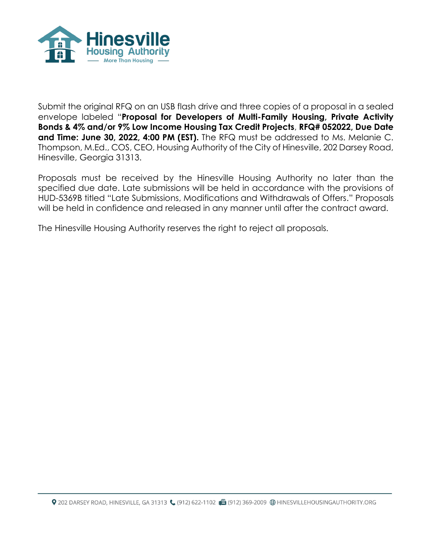

Submit the original RFQ on an USB flash drive and three copies of a proposal in a sealed envelope labeled "**Proposal for Developers of Multi-Family Housing, Private Activity Bonds & 4% and/or 9% Low Income Housing Tax Credit Projects**, **RFQ# 052022, Due Date and Time: June 30, 2022, 4:00 PM (EST).** The RFQ must be addressed to Ms. Melanie C. Thompson, M.Ed., COS, CEO, Housing Authority of the City of Hinesville, 202 Darsey Road, Hinesville, Georgia 31313.

Proposals must be received by the Hinesville Housing Authority no later than the specified due date. Late submissions will be held in accordance with the provisions of HUD-5369B titled "Late Submissions, Modifications and Withdrawals of Offers." Proposals will be held in confidence and released in any manner until after the contract award.

The Hinesville Housing Authority reserves the right to reject all proposals.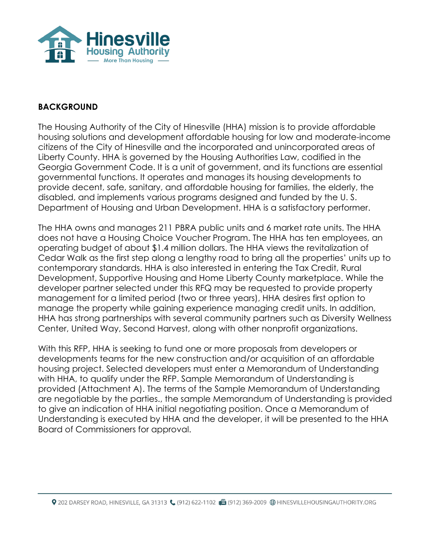

### **BACKGROUND**

The Housing Authority of the City of Hinesville (HHA) mission is to provide affordable housing solutions and development affordable housing for low and moderate-income citizens of the City of Hinesville and the incorporated and unincorporated areas of Liberty County. HHA is governed by the Housing Authorities Law, codified in the Georgia Government Code. It is a unit of government, and its functions are essential governmental functions. It operates and manages its housing developments to provide decent, safe, sanitary, and affordable housing for families, the elderly, the disabled, and implements various programs designed and funded by the U. S. Department of Housing and Urban Development. HHA is a satisfactory performer.

The HHA owns and manages 211 PBRA public units and 6 market rate units. The HHA does not have a Housing Choice Voucher Program. The HHA has ten employees, an operating budget of about \$1.4 million dollars. The HHA views the revitalization of Cedar Walk as the first step along a lengthy road to bring all the properties' units up to contemporary standards. HHA is also interested in entering the Tax Credit, Rural Development, Supportive Housing and Home Liberty County marketplace. While the developer partner selected under this RFQ may be requested to provide property management for a limited period (two or three years), HHA desires first option to manage the property while gaining experience managing credit units. In addition, HHA has strong partnerships with several community partners such as Diversity Wellness Center, United Way, Second Harvest, along with other nonprofit organizations.

With this RFP, HHA is seeking to fund one or more proposals from developers or developments teams for the new construction and/or acquisition of an affordable housing project. Selected developers must enter a Memorandum of Understanding with HHA, to qualify under the RFP. Sample Memorandum of Understanding is provided (Attachment A). The terms of the Sample Memorandum of Understanding are negotiable by the parties., the sample Memorandum of Understanding is provided to give an indication of HHA initial negotiating position. Once a Memorandum of Understanding is executed by HHA and the developer, it will be presented to the HHA Board of Commissioners for approval.

Q 202 DARSEY ROAD, HINESVILLE, GA 31313 ((912) 622-1102 d (912) 369-2009 ⊕ HINESVILLEHOUSINGAUTHORITY.ORG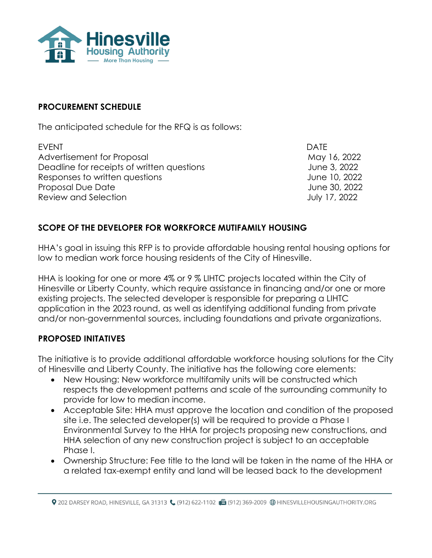

### **PROCUREMENT SCHEDULE**

The anticipated schedule for the RFQ is as follows:

EVENT DATE Advertisement for Proposal and May 16, 2022 Deadline for receipts of written questions Theorem Communications of the 3, 2022 Responses to written questions June 10, 2022 Proposal Due Date June 30, 2022 Review and Selection **Figure 2018** Selection **July 17, 2022** 

## **SCOPE OF THE DEVELOPER FOR WORKFORCE MUTIFAMILY HOUSING**

HHA's goal in issuing this RFP is to provide affordable housing rental housing options for low to median work force housing residents of the City of Hinesville.

HHA is looking for one or more 4% or 9 % LIHTC projects located within the City of Hinesville or Liberty County, which require assistance in financing and/or one or more existing projects. The selected developer is responsible for preparing a LIHTC application in the 2023 round, as well as identifying additional funding from private and/or non-governmental sources, including foundations and private organizations.

#### **PROPOSED INITATIVES**

The initiative is to provide additional affordable workforce housing solutions for the City of Hinesville and Liberty County. The initiative has the following core elements:

- New Housing: New workforce multifamily units will be constructed which respects the development patterns and scale of the surrounding community to provide for low to median income.
- Acceptable Site: HHA must approve the location and condition of the proposed site i.e. The selected developer(s) will be required to provide a Phase I Environmental Survey to the HHA for projects proposing new constructions, and HHA selection of any new construction project is subject to an acceptable Phase I.
- Ownership Structure: Fee title to the land will be taken in the name of the HHA or a related tax-exempt entity and land will be leased back to the development

Q 202 DARSEY ROAD, HINESVILLE, GA 31313 ((912) 622-1102 d (912) 369-2009 ⊕ HINESVILLEHOUSINGAUTHORITY.ORG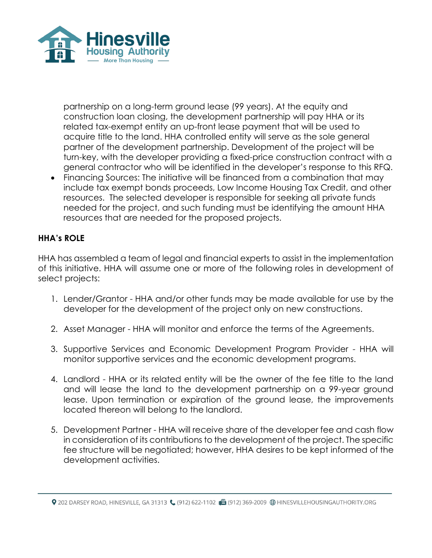

partnership on a long-term ground lease (99 years). At the equity and construction loan closing, the development partnership will pay HHA or its related tax-exempt entity an up-front lease payment that will be used to acquire title to the land. HHA controlled entity will serve as the sole general partner of the development partnership. Development of the project will be turn-key, with the developer providing a fixed-price construction contract with a general contractor who will be identified in the developer's response to this RFQ.

• Financing Sources: The initiative will be financed from a combination that may include tax exempt bonds proceeds, Low Income Housing Tax Credit, and other resources. The selected developer is responsible for seeking all private funds needed for the project, and such funding must be identifying the amount HHA resources that are needed for the proposed projects.

## **HHA's ROLE**

HHA has assembled a team of legal and financial experts to assist in the implementation of this initiative. HHA will assume one or more of the following roles in development of select projects:

- 1. Lender/Grantor HHA and/or other funds may be made available for use by the developer for the development of the project only on new constructions.
- 2. Asset Manager HHA will monitor and enforce the terms of the Agreements.
- 3. Supportive Services and Economic Development Program Provider HHA will monitor supportive services and the economic development programs.
- 4. Landlord HHA or its related entity will be the owner of the fee title to the land and will lease the land to the development partnership on a 99-year ground lease. Upon termination or expiration of the ground lease, the improvements located thereon will belong to the landlord.
- 5. Development Partner HHA will receive share of the developer fee and cash flow in consideration of its contributions to the development of the project. The specific fee structure will be negotiated; however, HHA desires to be kept informed of the development activities.

Q 202 DARSEY ROAD, HINESVILLE, GA 31313 ((912) 622-1102 d (912) 369-2009 ⊕ HINESVILLEHOUSINGAUTHORITY.ORG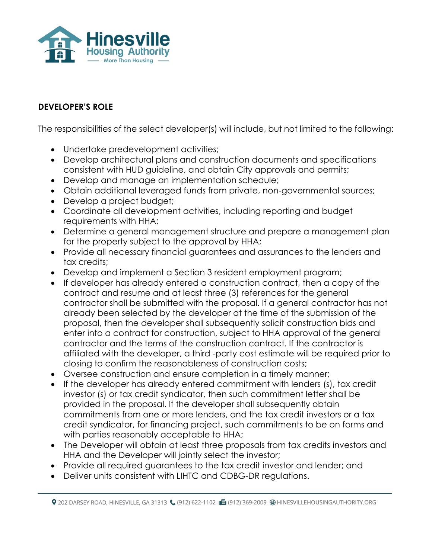

## **DEVELOPER'S ROLE**

The responsibilities of the select developer(s) will include, but not limited to the following:

- Undertake predevelopment activities;
- Develop architectural plans and construction documents and specifications consistent with HUD guideline, and obtain City approvals and permits;
- Develop and manage an implementation schedule;
- Obtain additional leveraged funds from private, non-governmental sources;
- Develop a project budget;
- Coordinate all development activities, including reporting and budget requirements with HHA;
- Determine a general management structure and prepare a management plan for the property subject to the approval by HHA;
- Provide all necessary financial guarantees and assurances to the lenders and tax credits;
- Develop and implement a Section 3 resident employment program;
- If developer has already entered a construction contract, then a copy of the contract and resume and at least three (3) references for the general contractor shall be submitted with the proposal. If a general contractor has not already been selected by the developer at the time of the submission of the proposal, then the developer shall subsequently solicit construction bids and enter into a contract for construction, subject to HHA approval of the general contractor and the terms of the construction contract. If the contractor is affiliated with the developer, a third -party cost estimate will be required prior to closing to confirm the reasonableness of construction costs;
- Oversee construction and ensure completion in a timely manner;
- If the developer has already entered commitment with lenders (s), tax credit investor (s) or tax credit syndicator, then such commitment letter shall be provided in the proposal. If the developer shall subsequently obtain commitments from one or more lenders, and the tax credit investors or a tax credit syndicator, for financing project, such commitments to be on forms and with parties reasonably acceptable to HHA;
- The Developer will obtain at least three proposals from tax credits investors and HHA and the Developer will jointly select the investor;
- Provide all required guarantees to the tax credit investor and lender; and
- Deliver units consistent with LIHTC and CDBG-DR regulations.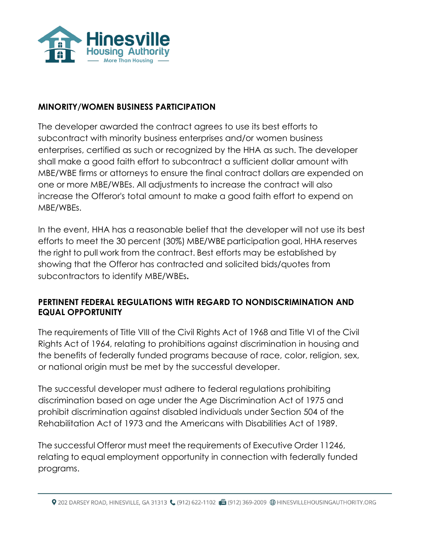

#### **MINORITY/WOMEN BUSINESS PARTICIPATION**

The developer awarded the contract agrees to use its best efforts to subcontract with minority business enterprises and/or women business enterprises, certified as such or recognized by the HHA as such. The developer shall make a good faith effort to subcontract a sufficient dollar amount with MBE/WBE firms or attorneys to ensure the final contract dollars are expended on one or more MBE/WBEs. All adjustments to increase the contract will also increase the Offeror's total amount to make a good faith effort to expend on MBE/WBEs.

In the event, HHA has a reasonable belief that the developer will not use its best efforts to meet the 30 percent (30%) MBE/WBE participation goal, HHA reserves the right to pull work from the contract. Best efforts may be established by showing that the Offeror has contracted and solicited bids/quotes from subcontractors to identify MBE/WBEs**.**

## **PERTINENT FEDERAL REGULATIONS WITH REGARD TO NONDISCRIMINATION AND EQUAL OPPORTUNITY**

The requirements of Title VIII of the Civil Rights Act of 1968 and Title VI of the Civil Rights Act of 1964, relating to prohibitions against discrimination in housing and the benefits of federally funded programs because of race, color, religion, sex, or national origin must be met by the successful developer.

The successful developer must adhere to federal regulations prohibiting discrimination based on age under the Age Discrimination Act of 1975 and prohibit discrimination against disabled individuals under Section 504 of the Rehabilitation Act of 1973 and the Americans with Disabilities Act of 1989.

The successful Offeror must meet the requirements of Executive Order 11246, relating to equal employment opportunity in connection with federally funded programs.

Q 202 DARSEY ROAD, HINESVILLE, GA 31313 ((912) 622-1102 d (912) 369-2009 ⊕ HINESVILLEHOUSINGAUTHORITY.ORG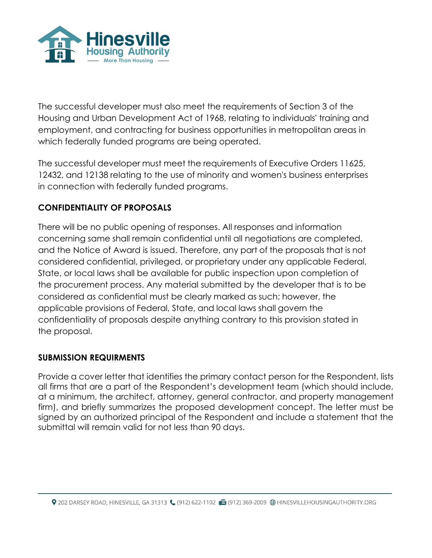

The successful developer must also meet the requirements of Section 3 of the Housing and Urban Development Act of 1968, relating to individuals' training and employment, and contracting for business opportunities in metropolitan areas in which federally funded programs are being operated.

The successful developer must meet the requirements of Executive Orders 11625, 12432, and 12138 relating to the use of minority and women's business enterprises in connection with federally funded programs.

## **CONFIDENTIALITY OF PROPOSALS**

There will be no public opening of responses. All responses and information concerning same shall remain confidential until all negotiations are completed, and the Notice of Award is issued. Therefore, any part of the proposals that is not considered confidential, privileged, or proprietary under any applicable Federal, State, or local laws shall be available for public inspection upon completion of the procurement process. Any material submitted by the developer that is to be considered as confidential must be clearly marked as such; however, the applicable provisions of Federal, State, and local laws shall govern the confidentiality of proposals despite anything contrary to this provision stated in the proposal.

## **SUBMISSION REQUIRMENTS**

Provide a cover letter that identifies the primary contact person for the Respondent, lists all firms that are a part of the Respondent's development team (which should include, at a minimum, the architect, attorney, general contractor, and property management firm), and briefly summarizes the proposed development concept. The letter must be signed by an authorized principal of the Respondent and include a statement that the submittal will remain valid for not less than 90 days.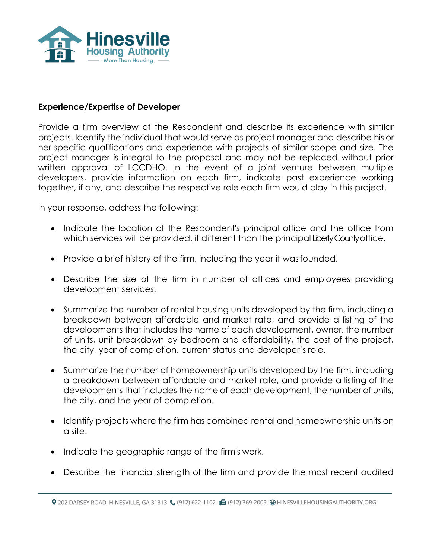

#### **Experience/Expertise of Developer**

Provide a firm overview of the Respondent and describe its experience with similar projects. Identify the individual that would serve as project manager and describe his or her specific qualifications and experience with projects of similar scope and size. The project manager is integral to the proposal and may not be replaced without prior written approval of LCCDHO. In the event of a joint venture between multiple developers, provide information on each firm, indicate past experience working together, if any, and describe the respective role each firm would play in this project.

In your response, address the following:

- Indicate the location of the Respondent's principal office and the office from which services will be provided, if different than the principal Liberty County office.
- Provide a brief history of the firm, including the year it wasfounded.
- Describe the size of the firm in number of offices and employees providing development services.
- Summarize the number of rental housing units developed by the firm, including a breakdown between affordable and market rate, and provide a listing of the developments that includes the name of each development, owner, the number of units, unit breakdown by bedroom and affordability, the cost of the project, the city, year of completion, current status and developer's role.
- Summarize the number of homeownership units developed by the firm, including a breakdown between affordable and market rate, and provide a listing of the developments that includes the name of each development, the number of units, the city, and the year of completion.
- Identify projects where the firm has combined rental and homeownership units on a site.
- Indicate the geographic range of the firm's work.
- Describe the financial strength of the firm and provide the most recent audited

Q 202 DARSEY ROAD, HINESVILLE, GA 31313 ((912) 622-1102 d (912) 369-2009 ⊕ HINESVILLEHOUSINGAUTHORITY.ORG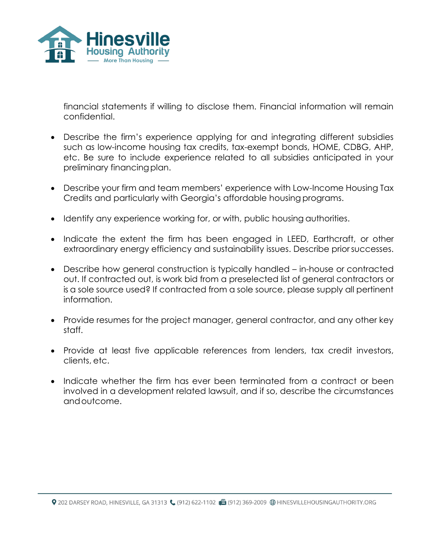

financial statements if willing to disclose them. Financial information will remain confidential.

- Describe the firm's experience applying for and integrating different subsidies such as low-income housing tax credits, tax-exempt bonds, HOME, CDBG, AHP, etc. Be sure to include experience related to all subsidies anticipated in your preliminary financing plan.
- Describe your firm and team members' experience with Low-Income Housing Tax Credits and particularly with Georgia's affordable housing programs.
- Identify any experience working for, or with, public housing authorities.
- Indicate the extent the firm has been engaged in LEED, Earthcraft, or other extraordinary energy efficiency and sustainability issues. Describe prior successes.
- Describe how general construction is typically handled in-house or contracted out. If contracted out, is work bid from a preselected list of general contractors or is a sole source used? If contracted from a sole source, please supply all pertinent information.
- Provide resumes for the project manager, general contractor, and any other key staff.
- Provide at least five applicable references from lenders, tax credit investors, clients, etc.
- Indicate whether the firm has ever been terminated from a contract or been involved in a development related lawsuit, and if so, describe the circumstances andoutcome.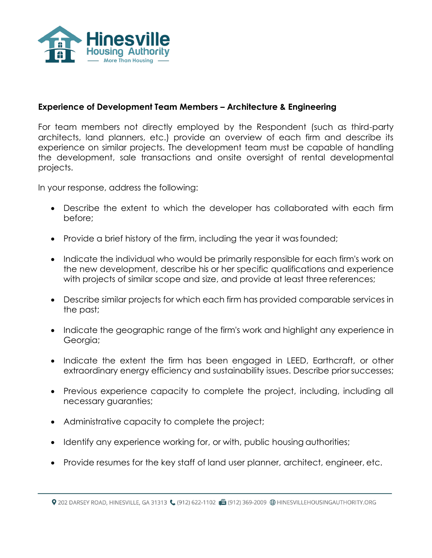

#### **Experience of Development Team Members – Architecture & Engineering**

For team members not directly employed by the Respondent (such as third-party architects, land planners, etc.) provide an overview of each firm and describe its experience on similar projects. The development team must be capable of handling the development, sale transactions and onsite oversight of rental developmental projects.

In your response, address the following:

- Describe the extent to which the developer has collaborated with each firm before;
- Provide a brief history of the firm, including the year it was founded;
- Indicate the individual who would be primarily responsible for each firm's work on the new development, describe his or her specific qualifications and experience with projects of similar scope and size, and provide at least three references;
- Describe similar projects for which each firm has provided comparable services in the past;
- Indicate the geographic range of the firm's work and highlight any experience in Georgia;
- Indicate the extent the firm has been engaged in LEED, Earthcraft, or other extraordinary energy efficiency and sustainability issues. Describe prior successes;
- Previous experience capacity to complete the project, including, including all necessary guaranties;
- Administrative capacity to complete the project;
- Identify any experience working for, or with, public housing authorities;
- Provide resumes for the key staff of land user planner, architect, engineer, etc.

Q 202 DARSEY ROAD, HINESVILLE, GA 31313 ((912) 622-1102 B (912) 369-2009 ⊕ HINESVILLEHOUSINGAUTHORITY.ORG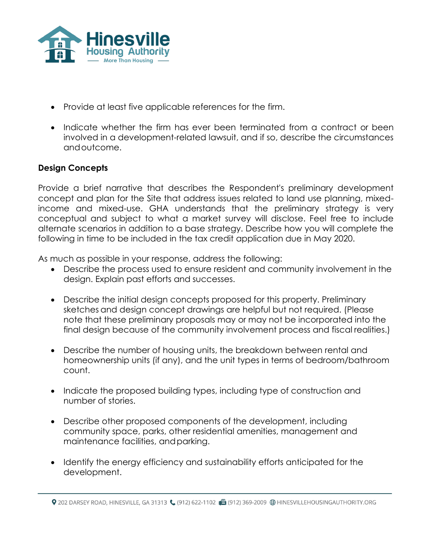

- Provide at least five applicable references for the firm.
- Indicate whether the firm has ever been terminated from a contract or been involved in a development-related lawsuit, and if so, describe the circumstances andoutcome.

### **Design Concepts**

Provide a brief narrative that describes the Respondent's preliminary development concept and plan for the Site that address issues related to land use planning, mixedincome and mixed-use. GHA understands that the preliminary strategy is very conceptual and subject to what a market survey will disclose. Feel free to include alternate scenarios in addition to a base strategy. Describe how you will complete the following in time to be included in the tax credit application due in May 2020.

As much as possible in your response, address the following:

- Describe the process used to ensure resident and community involvement in the design. Explain past efforts and successes.
- Describe the initial design concepts proposed for this property. Preliminary sketches and design concept drawings are helpful but not required. (Please note that these preliminary proposals may or may not be incorporated into the final design because of the community involvement process and fiscal realities.)
- Describe the number of housing units, the breakdown between rental and homeownership units (if any), and the unit types in terms of bedroom/bathroom count.
- Indicate the proposed building types, including type of construction and number of stories.
- Describe other proposed components of the development, including community space, parks, other residential amenities, management and maintenance facilities, andparking.
- Identify the energy efficiency and sustainability efforts anticipated for the development.

<sup>9 202</sup> DARSEY ROAD, HINESVILLE, GA 31313 ↓ (912) 622-1102 ■ (912) 369-2009 ● HINESVILLEHOUSINGAUTHORITY.ORG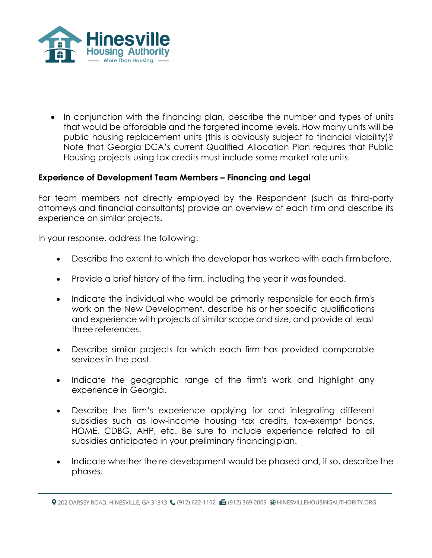

• In conjunction with the financing plan, describe the number and types of units that would be affordable and the targeted income levels. How many units will be public housing replacement units (this is obviously subject to financial viability)? Note that Georgia DCA's current Qualified Allocation Plan requires that Public Housing projects using tax credits must include some market rate units.

#### **Experience of Development Team Members – Financing and Legal**

For team members not directly employed by the Respondent (such as third-party attorneys and financial consultants) provide an overview of each firm and describe its experience on similar projects.

In your response, address the following:

- Describe the extent to which the developer has worked with each firm before.
- Provide a brief history of the firm, including the year it wasfounded.
- Indicate the individual who would be primarily responsible for each firm's work on the New Development, describe his or her specific qualifications and experience with projects of similar scope and size, and provide at least three references.
- Describe similar projects for which each firm has provided comparable services in the past.
- Indicate the geographic range of the firm's work and highlight any experience in Georgia.
- Describe the firm's experience applying for and integrating different subsidies such as low-income housing tax credits, tax-exempt bonds, HOME, CDBG, AHP, etc. Be sure to include experience related to all subsidies anticipated in your preliminary financing plan.
- Indicate whether the re-development would be phased and, if so, describe the phases.

<sup>9 202</sup> DARSEY ROAD, HINESVILLE, GA 31313 ↓ (912) 622-1102 ■ (912) 369-2009 ● HINESVILLEHOUSINGAUTHORITY.ORG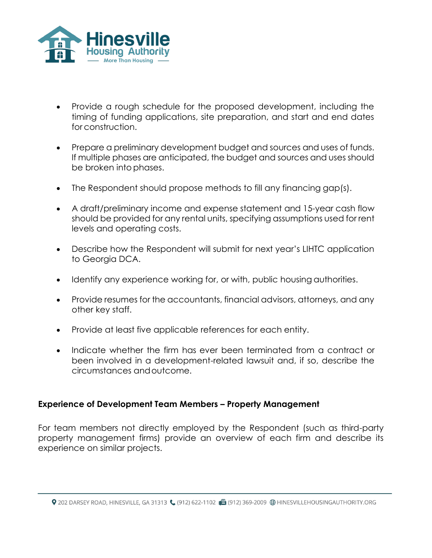

- Provide a rough schedule for the proposed development, including the timing of funding applications, site preparation, and start and end dates for construction.
- Prepare a preliminary development budget and sources and uses of funds. If multiple phases are anticipated, the budget and sources and uses should be broken into phases.
- The Respondent should propose methods to fill any financing gap(s).
- A draft/preliminary income and expense statement and 15-year cash flow should be provided for any rental units, specifying assumptions used for rent levels and operating costs.
- Describe how the Respondent will submit for next year's LIHTC application to Georgia DCA.
- Identify any experience working for, or with, public housing authorities.
- Provide resumes for the accountants, financial advisors, attorneys, and any other key staff.
- Provide at least five applicable references for each entity.
- Indicate whether the firm has ever been terminated from a contract or been involved in a development-related lawsuit and, if so, describe the circumstances andoutcome.

#### **Experience of Development Team Members – Property Management**

For team members not directly employed by the Respondent (such as third-party property management firms) provide an overview of each firm and describe its experience on similar projects.

<sup>9 202</sup> DARSEY ROAD, HINESVILLE, GA 31313 ↓ (912) 622-1102 ■ (912) 369-2009 ● HINESVILLEHOUSINGAUTHORITY.ORG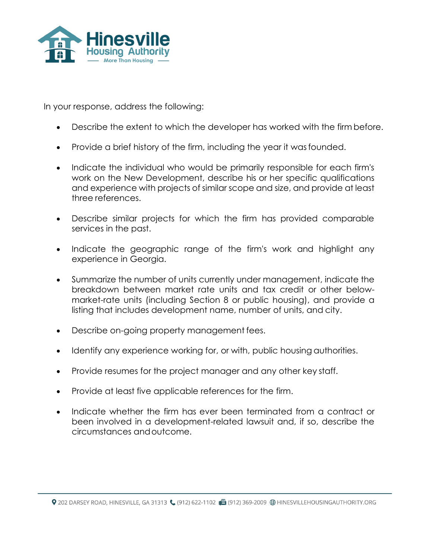

In your response, address the following:

- Describe the extent to which the developer has worked with the firm before.
- Provide a brief history of the firm, including the year it wasfounded.
- Indicate the individual who would be primarily responsible for each firm's work on the New Development, describe his or her specific qualifications and experience with projects of similar scope and size, and provide at least three references.
- Describe similar projects for which the firm has provided comparable services in the past.
- Indicate the geographic range of the firm's work and highlight any experience in Georgia.
- Summarize the number of units currently under management, indicate the breakdown between market rate units and tax credit or other belowmarket-rate units (including Section 8 or public housing), and provide a listing that includes development name, number of units, and city.
- Describe on-going property management fees.
- Identify any experience working for, or with, public housing authorities.
- Provide resumes for the project manager and any other key staff.
- Provide at least five applicable references for the firm.
- Indicate whether the firm has ever been terminated from a contract or been involved in a development-related lawsuit and, if so, describe the circumstances andoutcome.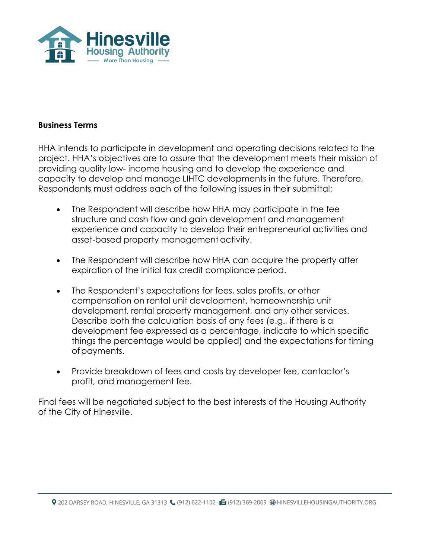

#### **Business Terms**

HHA intends to participate in development and operating decisions related to the project. HHA's objectives are to assure that the development meets their mission of providing quality low- income housing and to develop the experience and capacity to develop and manage LIHTC developments in the future. Therefore, Respondents must address each of the following issues in their submittal:

- The Respondent will describe how HHA may participate in the fee structure and cash flow and gain development and management experience and capacity to develop their entrepreneurial activities and asset-based property management activity.
- The Respondent will describe how HHA can acquire the property after expiration of the initial tax credit compliance period.
- The Respondent's expectations for fees, sales profits, or other compensation on rental unit development, homeownership unit development, rental property management, and any other services. Describe both the calculation basis of any fees (e.g., if there is a development fee expressed as a percentage, indicate to which specific things the percentage would be applied) and the expectations for timing ofpayments.
- Provide breakdown of fees and costs by developer fee, contactor's profit, and management fee.

Final fees will be negotiated subject to the best interests of the Housing Authority of the City of Hinesville.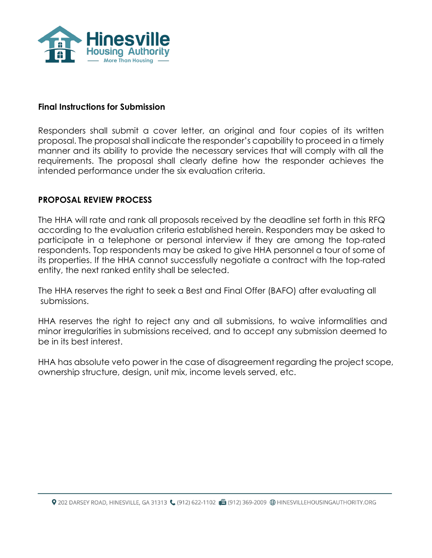

#### **Final Instructions for Submission**

Responders shall submit a cover letter, an original and four copies of its written proposal. The proposal shall indicate the responder's capability to proceed in a timely manner and its ability to provide the necessary services that will comply with all the requirements. The proposal shall clearly define how the responder achieves the intended performance under the six evaluation criteria.

#### **PROPOSAL REVIEW PROCESS**

The HHA will rate and rank all proposals received by the deadline set forth in this RFQ according to the evaluation criteria established herein. Responders may be asked to participate in a telephone or personal interview if they are among the top-rated respondents. Top respondents may be asked to give HHA personnel a tour of some of its properties. If the HHA cannot successfully negotiate a contract with the top-rated entity, the next ranked entity shall be selected.

The HHA reserves the right to seek a Best and Final Offer (BAFO) after evaluating all submissions.

HHA reserves the right to reject any and all submissions, to waive informalities and minor irregularities in submissions received, and to accept any submission deemed to be in its best interest.

HHA has absolute veto power in the case of disagreement regarding the project scope, ownership structure, design, unit mix, income levels served, etc.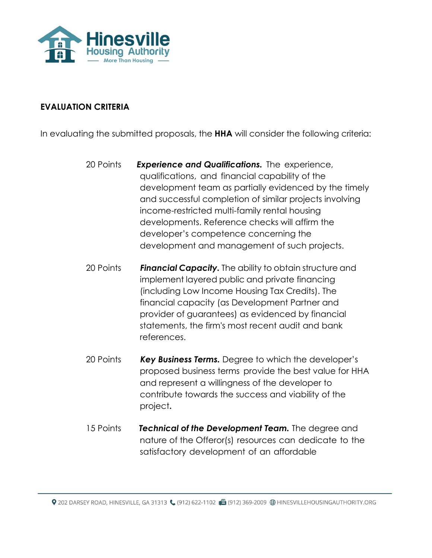

#### **EVALUATION CRITERIA**

In evaluating the submitted proposals, the **HHA** will consider the following criteria:

- 20 Points *Experience and Qualifications.* The experience, qualifications, and financial capability of the development team as partially evidenced by the timely and successful completion of similar projects involving income-restricted multi-family rental housing developments. Reference checks will affirm the developer's competence concerning the development and management of such projects.
- <sup>20</sup> Points *Financial Capacity.* The ability to obtain structure and implement layered public and private financing (including Low Income Housing Tax Credits). The financial capacity (as Development Partner and provider of guarantees) as evidenced by financial statements, the firm's most recent audit and bank references.
- <sup>20</sup> Points *Key Business Terms.* Degree to which the developer's proposed business terms provide the best value for HHA and represent a willingness of the developer to contribute towards the success and viability of the project**.**
- 15 Points *Technical of the Development Team.* The degree and nature of the Offeror(s) resources can dedicate to the satisfactory development of an affordable

9 202 DARSEY ROAD, HINESVILLE, GA 31313 ↓ (912) 622-1102 ■ (912) 369-2009 ● HINESVILLEHOUSINGAUTHORITY.ORG